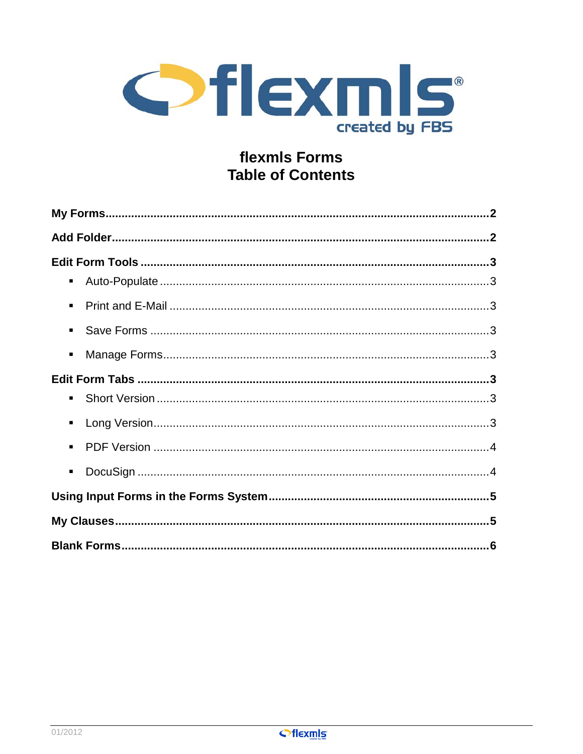

# flexmls Forms **Table of Contents**

| ٠              |  |
|----------------|--|
| $\blacksquare$ |  |
| $\blacksquare$ |  |
| п              |  |
|                |  |
| ٠              |  |
| ٠              |  |
| $\blacksquare$ |  |
| ٠              |  |
|                |  |
|                |  |
|                |  |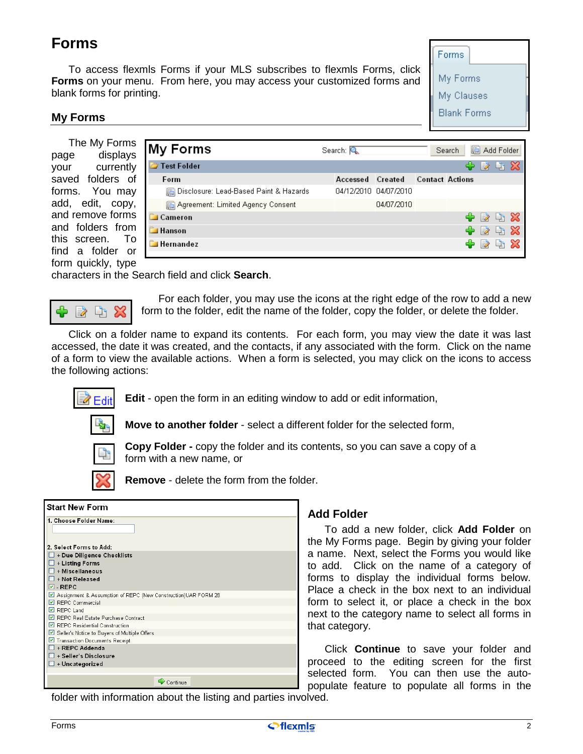# <span id="page-1-0"></span>**Forms**

To access flexmls Forms if your MLS subscribes to flexmls Forms, click **Forms** on your menu. From here, you may access your customized forms and blank forms for printing.



#### **My Forms**

The My Forms page displays your currently saved folders of forms. You may add, edit, copy, and remove forms and folders from this screen. To find a folder or form quickly, type

| <b>My Forms</b>                        | Search: Q |                       |                        | Search | Add Folder                  |            |  |
|----------------------------------------|-----------|-----------------------|------------------------|--------|-----------------------------|------------|--|
| 7 Test Folder                          |           |                       |                        |        | 258                         |            |  |
| Form                                   | Accessed  | Created               | <b>Contact Actions</b> |        |                             |            |  |
| Disclosure: Lead-Based Paint & Hazards |           | 04/12/2010 04/07/2010 |                        |        |                             |            |  |
| Agreement: Limited Agency Consent      |           | 04/07/2010            |                        |        |                             |            |  |
| Cameron                                |           |                       |                        |        | + ≥ ∟ ×                     |            |  |
| <b>Hanson</b>                          |           |                       |                        |        | ● ⊘                         | $A \times$ |  |
| <b>Hernandez</b>                       |           |                       |                        |        | $\Rightarrow$ $\Rightarrow$ | $A \times$ |  |
|                                        |           |                       |                        |        |                             |            |  |

characters in the Search field and click **Search**.



For each folder, you may use the icons at the right edge of the row to add a new form to the folder, edit the name of the folder, copy the folder, or delete the folder.

Click on a folder name to expand its contents. For each form, you may view the date it was last accessed, the date it was created, and the contacts, if any associated with the form. Click on the name of a form to view the available actions. When a form is selected, you may click on the icons to access the following actions:



**Edit** - open the form in an editing window to add or edit information,



**Move to another folder** - select a different folder for the selected form,



**Copy Folder -** copy the folder and its contents, so you can save a copy of a form with a new name, or



**Remove** - delete the form from the folder.

| <b>Start New Form</b>                                                              |
|------------------------------------------------------------------------------------|
| 1. Choose Folder Name:                                                             |
| 2. Select Forms to Add:                                                            |
| $\Box$ + Due Diligence Checklists                                                  |
| $\Box$ + Listing Forms                                                             |
| + Miscellaneous                                                                    |
| $\Box$ + Not Released                                                              |
| $\vee$ - REPC                                                                      |
| ☑ Assignment & Assumption of REPC (New Construction)UAR FORM 28<br>REPC Commercial |
| $\triangleright$ REPC Land                                                         |
| REPC Real Estate Purchase Contract                                                 |
| REPC Residential Construction                                                      |
| Seller's Notice to Buyers of Multiple Offers                                       |
| Transaction Documents Receipt                                                      |
| $\Box$ + REPC Addenda                                                              |
| $\Box$ + Seller's Disclosure                                                       |
| $\Box$ + Uncategorized                                                             |
| Continue                                                                           |

# **Add Folder**

To add a new folder, click **Add Folder** on the My Forms page. Begin by giving your folder a name. Next, select the Forms you would like to add. Click on the name of a category of forms to display the individual forms below. Place a check in the box next to an individual form to select it, or place a check in the box next to the category name to select all forms in that category.

Click **Continue** to save your folder and proceed to the editing screen for the first selected form. You can then use the autopopulate feature to populate all forms in the

folder with information about the listing and parties involved.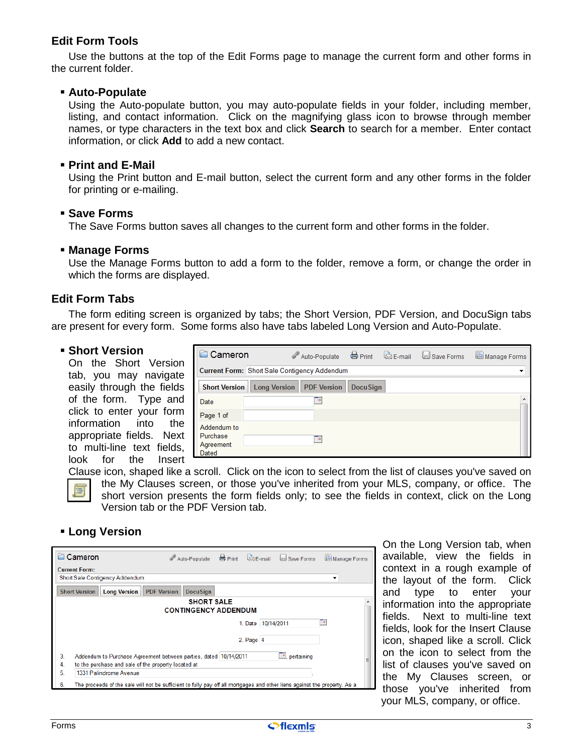# <span id="page-2-0"></span>**Edit Form Tools**

Use the buttons at the top of the Edit Forms page to manage the current form and other forms in the current folder.

#### **Auto-Populate**

Using the Auto-populate button, you may auto-populate fields in your folder, including member, listing, and contact information. Click on the magnifying glass icon to browse through member names, or type characters in the text box and click **Search** to search for a member. Enter contact information, or click **Add** to add a new contact.

#### **Print and E-Mail**

Using the Print button and E-mail button, select the current form and any other forms in the folder for printing or e-mailing.

#### **Save Forms**

The Save Forms button saves all changes to the current form and other forms in the folder.

#### **Manage Forms**

Use the Manage Forms button to add a form to the folder, remove a form, or change the order in which the forms are displayed.

#### **Edit Form Tabs**

The form editing screen is organized by tabs; the Short Version, PDF Version, and DocuSign tabs are present for every form. Some forms also have tabs labeled Long Version and Auto-Populate.

#### **Short Version**

On the Short Version tab, you may navigate easily through the fields of the form. Type and click to enter your form information into the appropriate fields. Next to multi-line text fields, look for the Insert

| Cameron                                       | Auto-Populate <b>&amp;</b> Print <b>&amp; E-mail</b> Save Forms |                 |  | Manage Forms |
|-----------------------------------------------|-----------------------------------------------------------------|-----------------|--|--------------|
|                                               | Current Form: Short Sale Contigency Addendum                    |                 |  |              |
| <b>Short Version</b>                          | Long Version   PDF Version                                      | <b>DocuSign</b> |  |              |
| Date                                          | ≕                                                               |                 |  |              |
| Page 1 of                                     |                                                                 |                 |  |              |
| Addendum to<br>Purchase<br>Agreement<br>Dated | œ                                                               |                 |  |              |

Clause icon, shaped like a scroll. Click on the icon to select from the list of clauses you've saved on the My Clauses screen, or those you've inherited from your MLS, company, or office. The short version presents the form fields only; to see the fields in context, click on the Long Version tab or the PDF Version tab.

#### **Long Version**

| Cameron<br>P                                                                                                                        | Auto-Populate ⇔ Print                            |         |               | E-mail d Save Forms | Manage Forms |
|-------------------------------------------------------------------------------------------------------------------------------------|--------------------------------------------------|---------|---------------|---------------------|--------------|
| <b>Current Form:</b><br>Short Sale Contigency Addendum                                                                              |                                                  |         |               |                     |              |
| <b>Long Version</b><br><b>PDF Version</b><br><b>Short Version</b>                                                                   | <b>DocuSign</b>                                  |         |               |                     |              |
|                                                                                                                                     | <b>SHORT SALE</b><br><b>CONTINGENCY ADDENDUM</b> |         |               |                     |              |
|                                                                                                                                     |                                                  | 1. Date | 10/14/2011    |                     | P            |
|                                                                                                                                     |                                                  |         | $2.$ Page $4$ |                     |              |
| 3.<br>Addendum to Purchase Agreement between parties, dated 10/14/2011<br>4.<br>to the purchase and sale of the property located at |                                                  |         |               | pertaining          |              |
| 5.<br>1331 Palindrome Avenue                                                                                                        |                                                  |         |               |                     |              |
| 6.<br>The proceeds of the sale will not be sufficient to fully pay off all mortgages and other liens against the property. As a     |                                                  |         |               |                     |              |

On the Long Version tab, when available, view the fields in context in a rough example of the layout of the form. Click and type to enter your information into the appropriate fields. Next to multi-line text fields, look for the Insert Clause icon, shaped like a scroll. Click on the icon to select from the list of clauses you've saved on the My Clauses screen, or those you've inherited from your MLS, company, or office.

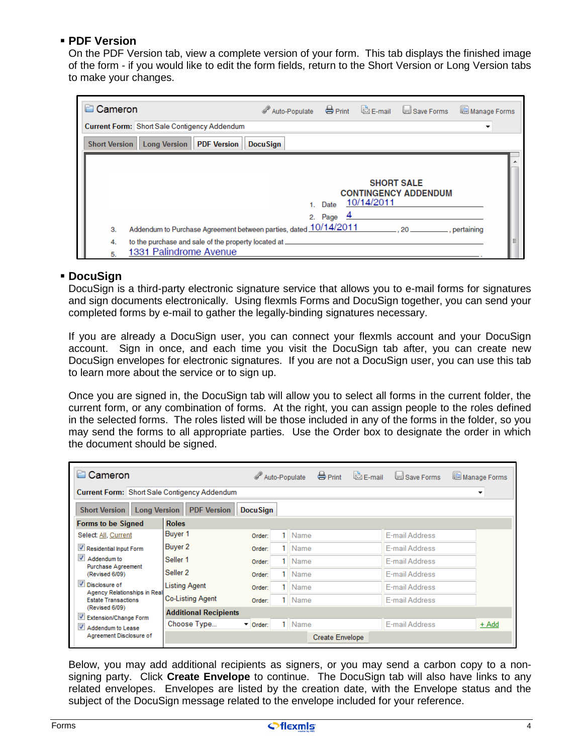## <span id="page-3-0"></span>**PDF Version**

On the PDF Version tab, view a complete version of your form. This tab displays the finished image of the form - if you would like to edit the form fields, return to the Short Version or Long Version tabs to make your changes.

| Cameron              |                                                                                | Auto-Populate S Print & E-mail Save Forms |                 |                                 |                                    | Manage Forms |
|----------------------|--------------------------------------------------------------------------------|-------------------------------------------|-----------------|---------------------------------|------------------------------------|--------------|
|                      | <b>Current Form: Short Sale Contigency Addendum</b>                            |                                           |                 |                                 |                                    | ▼            |
| <b>Short Version</b> | Long Version   PDF Version                                                     | <b>DocuSign</b>                           |                 |                                 |                                    |              |
| 3.                   | Addendum to Purchase Agreement between parties, dated 10/14/2011               |                                           | Date<br>2. Page | <b>SHORT SALE</b><br>10/14/2011 | <b>CONTINGENCY ADDENDUM</b><br>.20 | , pertaining |
| 4.<br>5.             | to the purchase and sale of the property located at.<br>1331 Palindrome Avenue |                                           |                 |                                 |                                    |              |

#### **DocuSign**

DocuSign is a third-party electronic signature service that allows you to e-mail forms for signatures and sign documents electronically. Using flexmls Forms and DocuSign together, you can send your completed forms by e-mail to gather the legally-binding signatures necessary.

If you are already a DocuSign user, you can connect your flexmls account and your DocuSign account. Sign in once, and each time you visit the DocuSign tab after, you can create new DocuSign envelopes for electronic signatures. If you are not a DocuSign user, you can use this tab to learn more about the service or to sign up.

Once you are signed in, the DocuSign tab will allow you to select all forms in the current folder, the current form, or any combination of forms. At the right, you can assign people to the roles defined in the selected forms. The roles listed will be those included in any of the forms in the folder, so you may send the forms to all appropriate parties. Use the Order box to designate the order in which the document should be signed.

| Cameron                                                                              |                              |                              |    | $\bigoplus$ Print<br>Auto-Populate | $\overline{\mathbb{Z}}$ E-mail | Save Forms            | Manage Forms             |  |  |
|--------------------------------------------------------------------------------------|------------------------------|------------------------------|----|------------------------------------|--------------------------------|-----------------------|--------------------------|--|--|
| <b>Current Form: Short Sale Contigency Addendum</b>                                  |                              |                              |    |                                    |                                |                       | $\overline{\phantom{a}}$ |  |  |
| <b>PDF Version</b><br><b>Short Version</b><br><b>Long Version</b><br><b>DocuSign</b> |                              |                              |    |                                    |                                |                       |                          |  |  |
| <b>Forms to be Signed</b>                                                            | <b>Roles</b>                 |                              |    |                                    |                                |                       |                          |  |  |
| Select: All, Current                                                                 | Buyer 1                      | Order:                       |    | 1 Name                             |                                | E-mail Address        |                          |  |  |
| Residential Input Form                                                               | Buyer 2                      | Order:                       |    | Name                               |                                | <b>E-mail Address</b> |                          |  |  |
| $\overline{\mathcal{A}}$<br>Addendum to                                              | Seller <sub>1</sub>          | Order:                       |    | Name                               |                                | <b>F-mail Address</b> |                          |  |  |
| Purchase Agreement<br>(Revised 6/09)                                                 | Seller 2                     | Order:                       |    | Name                               |                                | E-mail Address        |                          |  |  |
| Disclosure of                                                                        | <b>Listing Agent</b>         | Order:                       |    | Name                               |                                | E-mail Address        |                          |  |  |
| Agency Relationships in Real<br><b>Estate Transactions</b>                           | <b>Co-Listing Agent</b>      | Order:                       | 1. | Name                               |                                | E-mail Address        |                          |  |  |
| (Revised 6/09)<br>Extension/Change Form                                              | <b>Additional Recipients</b> |                              |    |                                    |                                |                       |                          |  |  |
| $\overline{\mathcal{A}}$<br>Addendum to Lease                                        | Choose Type                  | $\blacktriangleright$ Order: |    | 1   Name                           |                                | E-mail Address        | $+$ Add                  |  |  |
| Agreement Disclosure of                                                              |                              |                              |    | <b>Create Envelope</b>             |                                |                       |                          |  |  |

Below, you may add additional recipients as signers, or you may send a carbon copy to a nonsigning party. Click **Create Envelope** to continue. The DocuSign tab will also have links to any related envelopes. Envelopes are listed by the creation date, with the Envelope status and the subject of the DocuSign message related to the envelope included for your reference.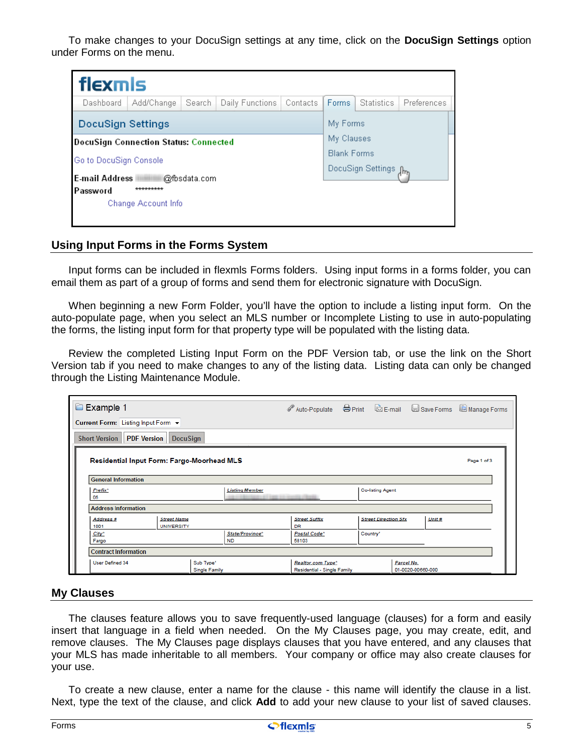<span id="page-4-0"></span>To make changes to your DocuSign settings at any time, click on the **DocuSign Settings** option under Forms on the menu.

| flexmls                  |                                              |              |                 |          |                       |                   |                    |  |  |  |
|--------------------------|----------------------------------------------|--------------|-----------------|----------|-----------------------|-------------------|--------------------|--|--|--|
| Dashboard                | Add/Change                                   | Search       | Daily Functions | Contacts | <b>Forms</b>          | <b>Statistics</b> | <b>Preferences</b> |  |  |  |
| <b>DocuSign Settings</b> |                                              |              |                 |          |                       | My Forms          |                    |  |  |  |
|                          | <b>DocuSign Connection Status: Connected</b> |              |                 |          |                       |                   | My Clauses         |  |  |  |
| Go to DocuSign Console   |                                              |              |                 |          | <b>Blank Forms</b>    |                   |                    |  |  |  |
|                          |                                              |              |                 |          | DocuSign Settings Jhn |                   |                    |  |  |  |
| <b>E-mail Address</b>    |                                              | @fbsdata.com |                 |          |                       |                   |                    |  |  |  |
| *********<br>Password    |                                              |              |                 |          |                       |                   |                    |  |  |  |
|                          | Change Account Info                          |              |                 |          |                       |                   |                    |  |  |  |
|                          |                                              |              |                 |          |                       |                   |                    |  |  |  |

#### **Using Input Forms in the Forms System**

Input forms can be included in flexmls Forms folders. Using input forms in a forms folder, you can email them as part of a group of forms and send them for electronic signature with DocuSign.

When beginning a new Form Folder, you'll have the option to include a listing input form. On the auto-populate page, when you select an MLS number or Incomplete Listing to use in auto-populating the forms, the listing input form for that property type will be populated with the listing data.

Review the completed Listing Input Form on the PDF Version tab, or use the link on the Short Version tab if you need to make changes to any of the listing data. Listing data can only be changed through the Listing Maintenance Module.

| Example 1                                                    |                                   | Auto-Populate Serint & E-mail Save Forms III Manage Forms |                         |                             |                   |             |
|--------------------------------------------------------------|-----------------------------------|-----------------------------------------------------------|-------------------------|-----------------------------|-------------------|-------------|
| Current Form: Listing Input Form +                           |                                   |                                                           |                         |                             |                   |             |
| <b>DocuSign</b><br><b>Short Version PDF Version</b>          |                                   |                                                           |                         |                             |                   |             |
| Residential Input Form: Fargo-Moorhead MLS                   |                                   |                                                           |                         |                             |                   | Page 1 of 3 |
| <b>General Information</b>                                   |                                   |                                                           |                         |                             |                   |             |
| Prefix*<br>05                                                | <b>Listing Member</b>             |                                                           | <b>Co-listing Agent</b> |                             |                   |             |
| <b>Address Information</b>                                   |                                   |                                                           |                         |                             |                   |             |
| Address #<br><b>Street Name</b><br>1001<br><b>UNIVERSITY</b> |                                   | <b>Street Suffix</b><br><b>DR</b>                         |                         | <b>Street Direction Sfx</b> | Unit #            |             |
| City*<br>Fargo                                               | State/Province*<br><b>ND</b>      | Postal Code*<br>58103                                     | Country <sup>*</sup>    |                             |                   |             |
| <b>Contract Information</b>                                  |                                   |                                                           |                         |                             |                   |             |
| <b>User Defined 34</b>                                       | Sub Type*<br><b>Single Family</b> | Realtor.com Type*<br>Residential - Single Family          |                         | Parcel No.                  | 01-0020-00660-000 |             |

#### **My Clauses**

The clauses feature allows you to save frequently-used language (clauses) for a form and easily insert that language in a field when needed. On the My Clauses page, you may create, edit, and remove clauses. The My Clauses page displays clauses that you have entered, and any clauses that your MLS has made inheritable to all members. Your company or office may also create clauses for your use.

To create a new clause, enter a name for the clause - this name will identify the clause in a list. Next, type the text of the clause, and click **Add** to add your new clause to your list of saved clauses.